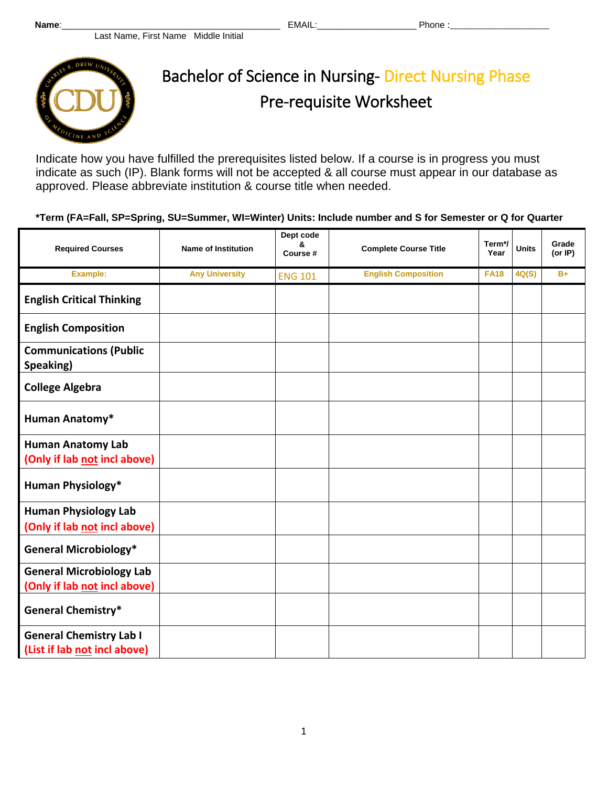

Indicate how you have fulfilled the prerequisites listed below. If a course is in progress you must indicate as such (IP). Blank forms will not be accepted & all course must appear in our database as approved. Please abbreviate institution & course title when needed.

**\*Term (FA=Fall, SP=Spring, SU=Summer, WI=Winter) Units: Include number and S for Semester or Q for Quarter**

| <b>Required Courses</b>                                         | <b>Name of Institution</b> | Dept code<br>&<br>Course # | <b>Complete Course Title</b> | Term*/      | <b>Units</b> | Grade<br>(or IP) |
|-----------------------------------------------------------------|----------------------------|----------------------------|------------------------------|-------------|--------------|------------------|
|                                                                 |                            |                            |                              | Year        |              |                  |
| Example:                                                        | <b>Any University</b>      | <b>ENG 101</b>             | <b>English Composition</b>   | <b>FA18</b> | 4Q(S)        | $B+$             |
| <b>English Critical Thinking</b>                                |                            |                            |                              |             |              |                  |
| <b>English Composition</b>                                      |                            |                            |                              |             |              |                  |
| <b>Communications (Public</b><br>Speaking)                      |                            |                            |                              |             |              |                  |
| <b>College Algebra</b>                                          |                            |                            |                              |             |              |                  |
| Human Anatomy*                                                  |                            |                            |                              |             |              |                  |
| <b>Human Anatomy Lab</b><br>(Only if lab not incl above)        |                            |                            |                              |             |              |                  |
| <b>Human Physiology*</b>                                        |                            |                            |                              |             |              |                  |
| <b>Human Physiology Lab</b><br>(Only if lab not incl above)     |                            |                            |                              |             |              |                  |
| <b>General Microbiology*</b>                                    |                            |                            |                              |             |              |                  |
| <b>General Microbiology Lab</b><br>(Only if lab not incl above) |                            |                            |                              |             |              |                  |
| <b>General Chemistry*</b>                                       |                            |                            |                              |             |              |                  |
| <b>General Chemistry Lab I</b><br>(List if lab not incl above)  |                            |                            |                              |             |              |                  |